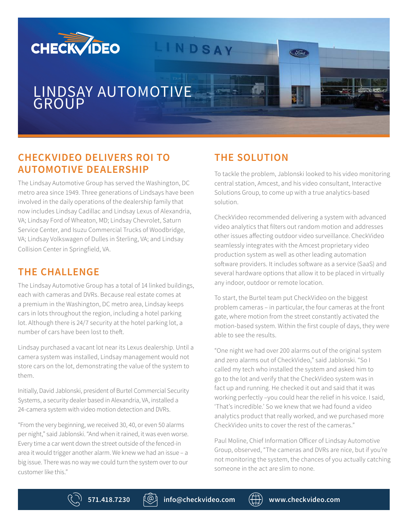

## **CHECKVIDEO DELIVERS ROI TO AUTOMOTIVE DEALERSHIP**

The Lindsay Automotive Group has served the Washington, DC metro area since 1949. Three generations of Lindsays have been involved in the daily operations of the dealership family that now includes Lindsay Cadillac and Lindsay Lexus of Alexandria, VA; Lindsay Ford of Wheaton, MD; Lindsay Chevrolet, Saturn Service Center, and Isuzu Commercial Trucks of Woodbridge, VA; Lindsay Volkswagen of Dulles in Sterling, VA; and Lindsay Collision Center in Springfield, VA.

## **THE CHALLENGE**

The Lindsay Automotive Group has a total of 14 linked buildings, each with cameras and DVRs. Because real estate comes at a premium in the Washington, DC metro area, Lindsay keeps cars in lots throughout the region, including a hotel parking lot. Although there is 24/7 security at the hotel parking lot, a number of cars have been lost to theft.

Lindsay purchased a vacant lot near its Lexus dealership. Until a camera system was installed, Lindsay management would not store cars on the lot, demonstrating the value of the system to them.

Initially, David Jablonski, president of Burtel Commercial Security Systems, a security dealer based in Alexandria, VA, installed a 24-camera system with video motion detection and DVRs.

"From the very beginning, we received 30, 40, or even 50 alarms per night," said Jablonski. "And when it rained, it was even worse. Every time a car went down the street outside of the fenced-in area it would trigger another alarm. We knew we had an issue – a big issue. There was no way we could turn the system over to our customer like this."

## **THE SOLUTION**

To tackle the problem, Jablonski looked to his video monitoring central station, Amcest, and his video consultant, Interactive Solutions Group, to come up with a true analytics-based solution.

CheckVideo recommended delivering a system with advanced video analytics that filters out random motion and addresses other issues affecting outdoor video surveillance. CheckVideo seamlessly integrates with the Amcest proprietary video production system as well as other leading automation software providers. It includes software as a service (SaaS) and several hardware options that allow it to be placed in virtually any indoor, outdoor or remote location.

To start, the Burtel team put CheckVideo on the biggest problem cameras – in particular, the four cameras at the front gate, where motion from the street constantly activated the motion-based system. Within the first couple of days, they were able to see the results.

"One night we had over 200 alarms out of the original system and zero alarms out of CheckVideo," said Jablonski. "So I called my tech who installed the system and asked him to go to the lot and verify that the CheckVideo system was in fact up and running. He checked it out and said that it was working perfectly –you could hear the relief in his voice. I said, 'That's incredible.' So we knew that we had found a video analytics product that really worked, and we purchased more CheckVideo units to cover the rest of the cameras."

Paul Moline, Chief Information Officer of Lindsay Automotive Group, observed, "The cameras and DVRs are nice, but if you're not monitoring the system, the chances of you actually catching someone in the act are slim to none.